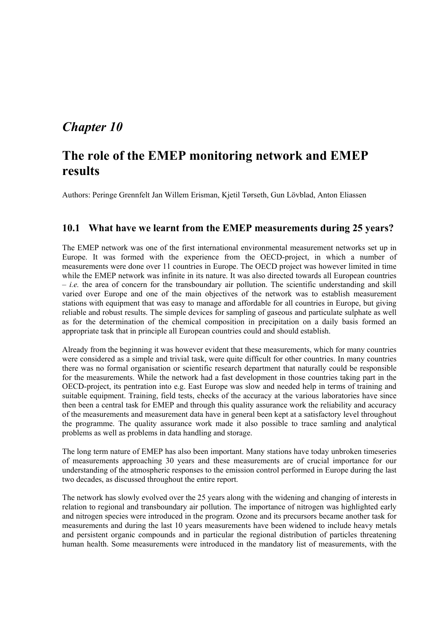## *Chapter 10*

# **The role of the EMEP monitoring network and EMEP results**

Authors: Peringe Grennfelt Jan Willem Erisman, Kjetil Tørseth, Gun Lövblad, Anton Eliassen

#### **10.1 What have we learnt from the EMEP measurements during 25 years?**

The EMEP network was one of the first international environmental measurement networks set up in Europe. It was formed with the experience from the OECD-project, in which a number of measurements were done over 11 countries in Europe. The OECD project was however limited in time while the EMEP network was infinite in its nature. It was also directed towards all European countries  $i.e.$  the area of concern for the transboundary air pollution. The scientific understanding and skill varied over Europe and one of the main objectives of the network was to establish measurement stations with equipment that was easy to manage and affordable for all countries in Europe, but giving reliable and robust results. The simple devices for sampling of gaseous and particulate sulphate as well as for the determination of the chemical composition in precipitation on a daily basis formed an appropriate task that in principle all European countries could and should establish.

Already from the beginning it was however evident that these measurements, which for many countries were considered as a simple and trivial task, were quite difficult for other countries. In many countries there was no formal organisation or scientific research department that naturally could be responsible for the measurements. While the network had a fast development in those countries taking part in the OECD-project, its pentration into e.g. East Europe was slow and needed help in terms of training and suitable equipment. Training, field tests, checks of the accuracy at the various laboratories have since then been a central task for EMEP and through this quality assurance work the reliability and accuracy of the measurements and measurement data have in general been kept at a satisfactory level throughout the programme. The quality assurance work made it also possible to trace samling and analytical problems as well as problems in data handling and storage.

The long term nature of EMEP has also been important. Many stations have today unbroken timeseries of measurements approaching 30 years and these measurements are of crucial importance for our understanding of the atmospheric responses to the emission control performed in Europe during the last two decades, as discussed throughout the entire report.

The network has slowly evolved over the 25 years along with the widening and changing of interests in relation to regional and transboundary air pollution. The importance of nitrogen was highlighted early and nitrogen species were introduced in the program. Ozone and its precursors became another task for measurements and during the last 10 years measurements have been widened to include heavy metals and persistent organic compounds and in particular the regional distribution of particles threatening human health. Some measurements were introduced in the mandatory list of measurements, with the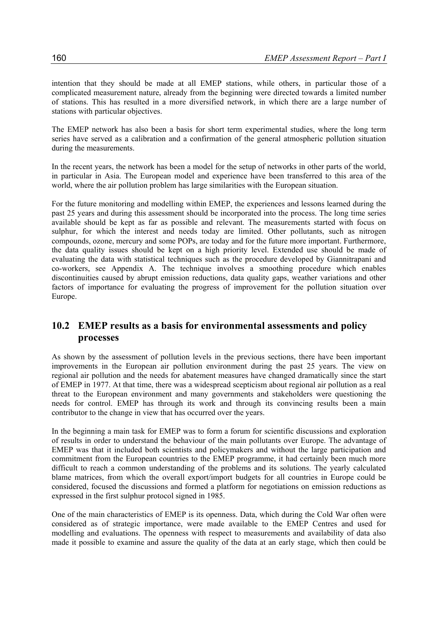intention that they should be made at all EMEP stations, while others, in particular those of a complicated measurement nature, already from the beginning were directed towards a limited number of stations. This has resulted in a more diversified network, in which there are a large number of stations with particular objectives.

The EMEP network has also been a basis for short term experimental studies, where the long term series have served as a calibration and a confirmation of the general atmospheric pollution situation during the measurements.

In the recent years, the network has been a model for the setup of networks in other parts of the world, in particular in Asia. The European model and experience have been transferred to this area of the world, where the air pollution problem has large similarities with the European situation.

For the future monitoring and modelling within EMEP, the experiences and lessons learned during the past 25 years and during this assessment should be incorporated into the process. The long time series available should be kept as far as possible and relevant. The measurements started with focus on sulphur, for which the interest and needs today are limited. Other pollutants, such as nitrogen compounds, ozone, mercury and some POPs, are today and for the future more important. Furthermore, the data quality issues should be kept on a high priority level. Extended use should be made of evaluating the data with statistical techniques such as the procedure developed by Giannitrapani and co-workers, see Appendix A. The technique involves a smoothing procedure which enables discontinuities caused by abrupt emission reductions, data quality gaps, weather variations and other factors of importance for evaluating the progress of improvement for the pollution situation over Europe.

#### **10.2 EMEP results as a basis for environmental assessments and policy processes**

As shown by the assessment of pollution levels in the previous sections, there have been important improvements in the European air pollution environment during the past 25 years. The view on regional air pollution and the needs for abatement measures have changed dramatically since the start of EMEP in 1977. At that time, there was a widespread scepticism about regional air pollution as a real threat to the European environment and many governments and stakeholders were questioning the needs for control. EMEP has through its work and through its convincing results been a main contributor to the change in view that has occurred over the years.

In the beginning a main task for EMEP was to form a forum for scientific discussions and exploration of results in order to understand the behaviour of the main pollutants over Europe. The advantage of EMEP was that it included both scientists and policymakers and without the large participation and commitment from the European countries to the EMEP programme, it had certainly been much more difficult to reach a common understanding of the problems and its solutions. The yearly calculated blame matrices, from which the overall export/import budgets for all countries in Europe could be considered, focused the discussions and formed a platform for negotiations on emission reductions as expressed in the first sulphur protocol signed in 1985.

One of the main characteristics of EMEP is its openness. Data, which during the Cold War often were considered as of strategic importance, were made available to the EMEP Centres and used for modelling and evaluations. The openness with respect to measurements and availability of data also made it possible to examine and assure the quality of the data at an early stage, which then could be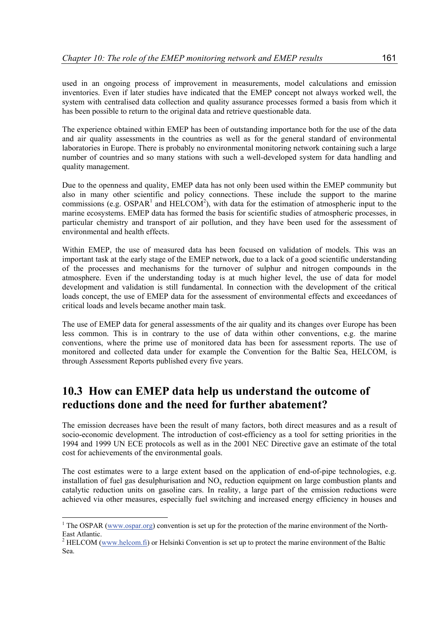used in an ongoing process of improvement in measurements, model calculations and emission inventories. Even if later studies have indicated that the EMEP concept not always worked well, the system with centralised data collection and quality assurance processes formed a basis from which it has been possible to return to the original data and retrieve questionable data.

The experience obtained within EMEP has been of outstanding importance both for the use of the data and air quality assessments in the countries as well as for the general standard of environmental laboratories in Europe. There is probably no environmental monitoring network containing such a large number of countries and so many stations with such a well-developed system for data handling and quality management.

Due to the openness and quality, EMEP data has not only been used within the EMEP community but also in many other scientific and policy connections. These include the support to the marine commissions (e.g. OSPAR<sup>1</sup> and HELCOM<sup>2</sup>), with data for the estimation of atmospheric input to the marine ecosystems. EMEP data has formed the basis for scientific studies of atmospheric processes, in particular chemistry and transport of air pollution, and they have been used for the assessment of environmental and health effects.

Within EMEP, the use of measured data has been focused on validation of models. This was an important task at the early stage of the EMEP network, due to a lack of a good scientific understanding of the processes and mechanisms for the turnover of sulphur and nitrogen compounds in the atmosphere. Even if the understanding today is at much higher level, the use of data for model development and validation is still fundamental. In connection with the development of the critical loads concept, the use of EMEP data for the assessment of environmental effects and exceedances of critical loads and levels became another main task.

The use of EMEP data for general assessments of the air quality and its changes over Europe has been less common. This is in contrary to the use of data within other conventions, e.g. the marine conventions, where the prime use of monitored data has been for assessment reports. The use of monitored and collected data under for example the Convention for the Baltic Sea, HELCOM, is through Assessment Reports published every five years.

### **10.3 How can EMEP data help us understand the outcome of reductions done and the need for further abatement?**

The emission decreases have been the result of many factors, both direct measures and as a result of socio-economic development. The introduction of cost-efficiency as a tool for setting priorities in the 1994 and 1999 UN ECE protocols as well as in the 2001 NEC Directive gave an estimate of the total cost for achievements of the environmental goals.

The cost estimates were to a large extent based on the application of end-of-pipe technologies, e.g. installation of fuel gas desulphurisation and  $NO<sub>x</sub>$  reduction equipment on large combustion plants and catalytic reduction units on gasoline cars. In reality, a large part of the emission reductions were achieved via other measures, especially fuel switching and increased energy efficiency in houses and

<sup>&</sup>lt;sup>1</sup> The OSPAR (www.ospar.org) convention is set up for the protection of the marine environment of the North-East Atlantic.

<sup>&</sup>lt;sup>2</sup> HELCOM (www.helcom.fi) or Helsinki Convention is set up to protect the marine environment of the Baltic Sea.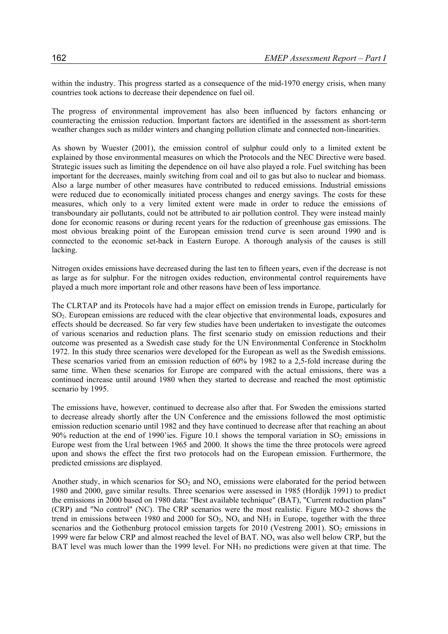within the industry. This progress started as a consequence of the mid-1970 energy crisis, when many countries took actions to decrease their dependence on fuel oil.

The progress of environmental improvement has also been influenced by factors enhancing or counteracting the emission reduction. Important factors are identified in the assessment as short-term weather changes such as milder winters and changing pollution climate and connected non-linearities.

As shown by Wuester (2001), the emission control of sulphur could only to a limited extent be explained by those environmental measures on which the Protocols and the NEC Directive were based. Strategic issues such as limiting the dependence on oil have also played a role. Fuel switching has been important for the decreases, mainly switching from coal and oil to gas but also to nuclear and biomass. Also a large number of other measures have contributed to reduced emissions. Industrial emissions were reduced due to economically initiated process changes and energy savings. The costs for these measures, which only to a very limited extent were made in order to reduce the emissions of transboundary air pollutants, could not be attributed to air pollution control. They were instead mainly done for economic reasons or during recent years for the reduction of greenhouse gas emissions. The most obvious breaking point of the European emission trend curve is seen around 1990 and is connected to the economic set-back in Eastern Europe. A thorough analysis of the causes is still lacking.

Nitrogen oxides emissions have decreased during the last ten to fifteen years, even if the decrease is not as large as for sulphur. For the nitrogen oxides reduction, environmental control requirements have played a much more important role and other reasons have been of less importance.

The CLRTAP and its Protocols have had a major effect on emission trends in Europe, particularly for SO2. European emissions are reduced with the clear objective that environmental loads, exposures and effects should be decreased. So far very few studies have been undertaken to investigate the outcomes of various scenarios and reduction plans. The first scenario study on emission reductions and their outcome was presented as a Swedish case study for the UN Environmental Conference in Stockholm 1972. In this study three scenarios were developed for the European as well as the Swedish emissions. These scenarios varied from an emission reduction of 60% by 1982 to a 2,5-fold increase during the same time. When these scenarios for Europe are compared with the actual emissions, there was a continued increase until around 1980 when they started to decrease and reached the most optimistic scenario by 1995.

The emissions have, however, continued to decrease also after that. For Sweden the emissions started to decrease already shortly after the UN Conference and the emissions followed the most optimistic emission reduction scenario until 1982 and they have continued to decrease after that reaching an about 90% reduction at the end of 1990'ies. Figure 10.1 shows the temporal variation in  $SO<sub>2</sub>$  emissions in Europe west from the Ural between 1965 and 2000. It shows the time the three protocols were agreed upon and shows the effect the first two protocols had on the European emission. Furthermore, the predicted emissions are displayed.

Another study, in which scenarios for  $SO_2$  and  $NO_x$  emissions were elaborated for the period between 1980 and 2000, gave similar results. Three scenarios were assessed in 1985 (Hordijk 1991) to predict the emissions in 2000 based on 1980 data: "Best available technique" (BAT), "Current reduction plans" (CRP) and "No control" (NC). The CRP scenarios were the most realistic. Figure MO-2 shows the trend in emissions between 1980 and 2000 for  $SO_2$ ,  $NO_x$  and  $NH_3$  in Europe, together with the three scenarios and the Gothenburg protocol emission targets for  $2010$  (Vestreng  $2001$ ). SO<sub>2</sub> emissions in 1999 were far below CRP and almost reached the level of BAT.  $NO<sub>x</sub>$  was also well below CRP, but the BAT level was much lower than the 1999 level. For NH<sub>3</sub> no predictions were given at that time. The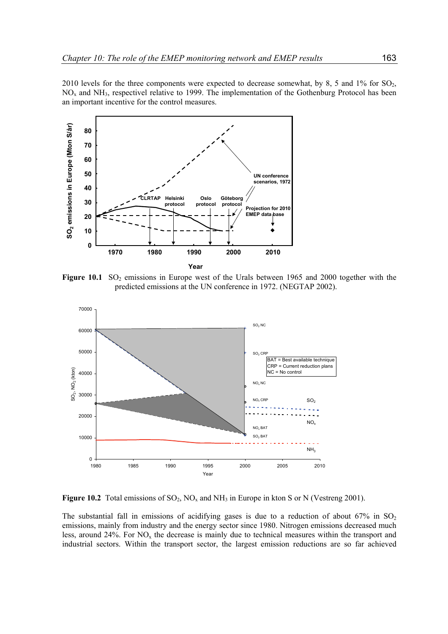2010 levels for the three components were expected to decrease somewhat, by 8, 5 and 1% for  $SO_2$ , NOx and NH3, respectivel relative to 1999. The implementation of the Gothenburg Protocol has been an important incentive for the control measures.



Figure 10.1 SO<sub>2</sub> emissions in Europe west of the Urals between 1965 and 2000 together with the predicted emissions at the UN conference in 1972. (NEGTAP 2002).



**Figure 10.2** Total emissions of  $SO_2$ ,  $NO_x$  and  $NH_3$  in Europe in kton S or N (Vestreng 2001).

The substantial fall in emissions of acidifying gases is due to a reduction of about 67% in  $SO_2$ emissions, mainly from industry and the energy sector since 1980. Nitrogen emissions decreased much less, around  $24\%$ . For NO<sub>x</sub> the decrease is mainly due to technical measures within the transport and industrial sectors. Within the transport sector, the largest emission reductions are so far achieved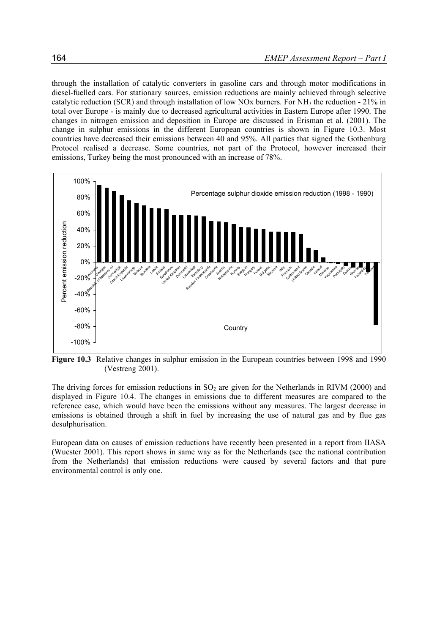through the installation of catalytic converters in gasoline cars and through motor modifications in diesel-fuelled cars. For stationary sources, emission reductions are mainly achieved through selective catalytic reduction (SCR) and through installation of low NOx burners. For NH<sub>3</sub> the reduction -  $21\%$  in total over Europe - is mainly due to decreased agricultural activities in Eastern Europe after 1990. The changes in nitrogen emission and deposition in Europe are discussed in Erisman et al. (2001). The change in sulphur emissions in the different European countries is shown in Figure 10.3. Most countries have decreased their emissions between 40 and 95%. All parties that signed the Gothenburg Protocol realised a decrease. Some countries, not part of the Protocol, however increased their emissions, Turkey being the most pronounced with an increase of 78%.



**Figure 10.3** Relative changes in sulphur emission in the European countries between 1998 and 1990 (Vestreng 2001).

The driving forces for emission reductions in  $SO<sub>2</sub>$  are given for the Netherlands in RIVM (2000) and displayed in Figure 10.4. The changes in emissions due to different measures are compared to the reference case, which would have been the emissions without any measures. The largest decrease in emissions is obtained through a shift in fuel by increasing the use of natural gas and by flue gas desulphurisation.

European data on causes of emission reductions have recently been presented in a report from IIASA (Wuester 2001). This report shows in same way as for the Netherlands (see the national contribution from the Netherlands) that emission reductions were caused by several factors and that pure environmental control is only one.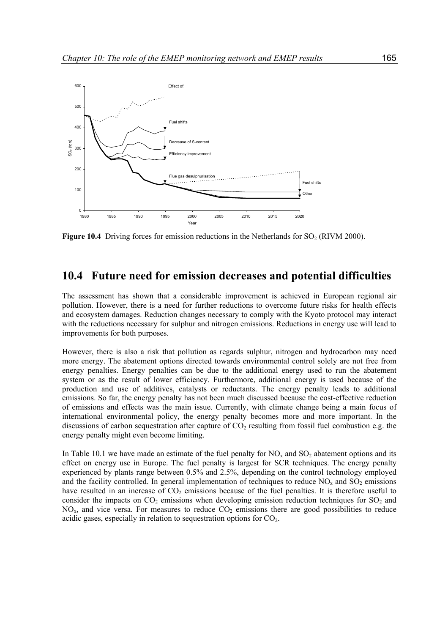

**Figure 10.4** Driving forces for emission reductions in the Netherlands for  $SO<sub>2</sub> (RIVM 2000)$ .

#### **10.4 Future need for emission decreases and potential difficulties**

The assessment has shown that a considerable improvement is achieved in European regional air pollution. However, there is a need for further reductions to overcome future risks for health effects and ecosystem damages. Reduction changes necessary to comply with the Kyoto protocol may interact with the reductions necessary for sulphur and nitrogen emissions. Reductions in energy use will lead to improvements for both purposes.

However, there is also a risk that pollution as regards sulphur, nitrogen and hydrocarbon may need more energy. The abatement options directed towards environmental control solely are not free from energy penalties. Energy penalties can be due to the additional energy used to run the abatement system or as the result of lower efficiency. Furthermore, additional energy is used because of the production and use of additives, catalysts or reductants. The energy penalty leads to additional emissions. So far, the energy penalty has not been much discussed because the cost-effective reduction of emissions and effects was the main issue. Currently, with climate change being a main focus of international environmental policy, the energy penalty becomes more and more important. In the discussions of carbon sequestration after capture of  $CO<sub>2</sub>$  resulting from fossil fuel combustion e.g. the energy penalty might even become limiting.

In Table 10.1 we have made an estimate of the fuel penalty for  $NO_x$  and  $SO_2$  abatement options and its effect on energy use in Europe. The fuel penalty is largest for SCR techniques. The energy penalty experienced by plants range between 0.5% and 2.5%, depending on the control technology employed and the facility controlled. In general implementation of techniques to reduce  $NO<sub>x</sub>$  and  $SO<sub>2</sub>$  emissions have resulted in an increase of  $CO<sub>2</sub>$  emissions because of the fuel penalties. It is therefore useful to consider the impacts on  $CO_2$  emissions when developing emission reduction techniques for  $SO_2$  and  $NO<sub>x</sub>$ , and vice versa. For measures to reduce  $CO<sub>2</sub>$  emissions there are good possibilities to reduce acidic gases, especially in relation to sequestration options for  $CO<sub>2</sub>$ .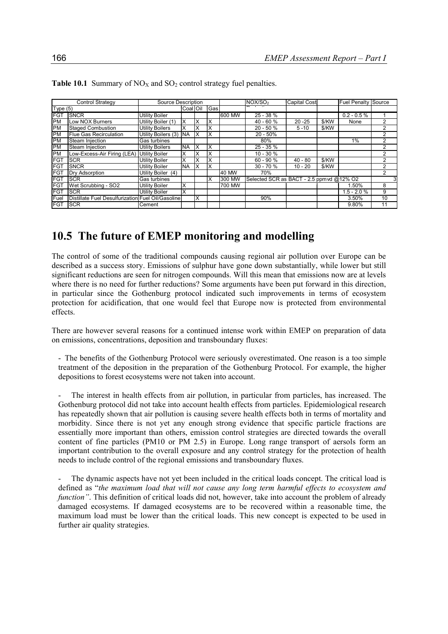| <b>Control Strategy</b> |                                                   | Source Description     |                 |    |               |        | NOX/SO <sub>2</sub> | <b>Capital Cost</b>                      |       | <b>Fuel Penalty Source</b> |    |
|-------------------------|---------------------------------------------------|------------------------|-----------------|----|---------------|--------|---------------------|------------------------------------------|-------|----------------------------|----|
| Type $(5)$              |                                                   |                        | <b>Coal Oil</b> |    | <b>I</b> Gasl |        |                     |                                          |       |                            |    |
| <b>FGT</b>              | <b>ISNCR</b>                                      | <b>Utility Boiler</b>  |                 |    |               | 600 MW | $25 - 38%$          |                                          |       | $0.2 - 0.5 \%$             |    |
| <b>PM</b>               | Low NOX Burners                                   | Utility Boiler (1)     | ΙX              | Ιx | X             |        | $40 - 60%$          | $20 - 25$                                | \$/KW | None                       | 2  |
| PM                      | <b>Staged Combustion</b>                          | <b>Utility Boilers</b> | X               |    | X             |        | $20 - 50%$          | $5 - 10$                                 | \$/KW |                            | 2  |
| <b>PM</b>               | Flue Gas Recirculation                            | Utility Boilers (3) NA |                 | IX | X             |        | $20 - 50%$          |                                          |       |                            |    |
| PM                      | Steam Injection                                   | Gas turbines           |                 |    |               |        | 80%                 |                                          |       | 1%                         | 2  |
| PM                      | Steam Injection                                   | <b>Utility Boilers</b> | <b>INA</b>      | Ιx | X             |        | $25 - 35%$          |                                          |       |                            | 2  |
| PM                      | Low-Excess-Air Firing (LEA)                       | <b>Utility Boiler</b>  | х               |    | X             |        | $10 - 30 \%$        |                                          |       |                            |    |
| <b>FGT</b>              | <b>SCR</b>                                        | <b>Utility Boiler</b>  | Ιx              | Ιx | X             |        | $60 - 90 %$         | $40 - 80$                                | \$/KW |                            | 2  |
| <b>FGT</b>              | <b>SNCR</b>                                       | <b>Utility Boiler</b>  | INA.            | ΙX | X             |        | $30 - 70%$          | $10 - 20$                                | \$/KW |                            |    |
| <b>FGT</b>              | Dry Adsorption                                    | Utility Boiler (4)     |                 |    |               | 40 MW  | 70%                 |                                          |       |                            |    |
| <b>FGT</b>              | <b>ISCR</b>                                       | Gas turbines           |                 |    | X             | 300 MW |                     | Selected SCR as BACT - 2.5 ppmvd @12% O2 |       |                            |    |
| <b>FGT</b>              | Wet Scrubbing - SO2                               | <b>Utility Boiler</b>  | X               |    |               | 700 MW |                     |                                          |       | .50%                       | 8  |
| <b>FGT</b>              | <b>ISCR</b>                                       | <b>Utility Boiler</b>  | lχ              |    |               |        |                     |                                          |       | $1.5 - 2.0 %$              | 9  |
| Fuel                    | Distillate Fuel Desulfurization Fuel Oil/Gasoline |                        |                 | ΙX |               |        | 90%                 |                                          |       | 3.50%                      | 10 |
| <b>FGT</b>              | <b>ISCR</b>                                       | Cement                 |                 |    |               |        |                     |                                          |       | 9.80%                      | 11 |

**Table 10.1** Summary of  $NO<sub>X</sub>$  and  $SO<sub>2</sub>$  control strategy fuel penalties.

### **10.5 The future of EMEP monitoring and modelling**

The control of some of the traditional compounds causing regional air pollution over Europe can be described as a success story. Emissions of sulphur have gone down substantially, while lower but still significant reductions are seen for nitrogen compounds. Will this mean that emissions now are at levels where there is no need for further reductions? Some arguments have been put forward in this direction, in particular since the Gothenburg protocol indicated such improvements in terms of ecosystem protection for acidification, that one would feel that Europe now is protected from environmental effects.

There are however several reasons for a continued intense work within EMEP on preparation of data on emissions, concentrations, deposition and transboundary fluxes:

- The benefits of the Gothenburg Protocol were seriously overestimated. One reason is a too simple treatment of the deposition in the preparation of the Gothenburg Protocol. For example, the higher depositions to forest ecosystems were not taken into account.

The interest in health effects from air pollution, in particular from particles, has increased. The Gothenburg protocol did not take into account health effects from particles. Epidemiological research has repeatedly shown that air pollution is causing severe health effects both in terms of mortality and morbidity. Since there is not yet any enough strong evidence that specific particle fractions are essentially more important than others, emission control strategies are directed towards the overall content of fine particles (PM10 or PM 2.5) in Europe. Long range transport of aersols form an important contribution to the overall exposure and any control strategy for the protection of health needs to include control of the regional emissions and transboundary fluxes.

- The dynamic aspects have not yet been included in the critical loads concept. The critical load is defined as "*the maximum load that will not cause any long term harmful effects to ecosystem and function"*. This definition of critical loads did not, however, take into account the problem of already damaged ecosystems. If damaged ecosystems are to be recovered within a reasonable time, the maximum load must be lower than the critical loads. This new concept is expected to be used in further air quality strategies.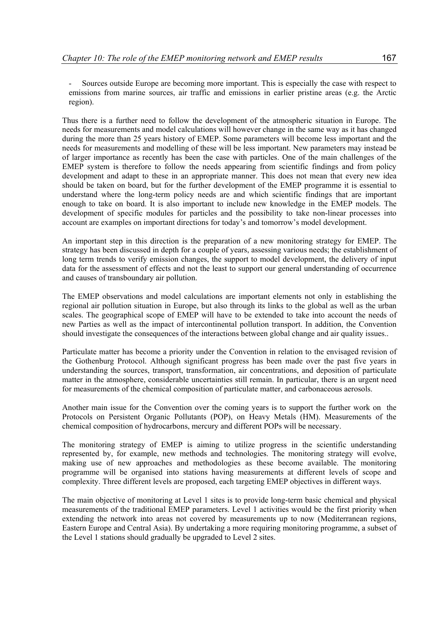Thus there is a further need to follow the development of the atmospheric situation in Europe. The needs for measurements and model calculations will however change in the same way as it has changed during the more than 25 years history of EMEP. Some parameters will become less important and the needs for measurements and modelling of these will be less important. New parameters may instead be of larger importance as recently has been the case with particles. One of the main challenges of the EMEP system is therefore to follow the needs appearing from scientific findings and from policy development and adapt to these in an appropriate manner. This does not mean that every new idea should be taken on board, but for the further development of the EMEP programme it is essential to understand where the long-term policy needs are and which scientific findings that are important enough to take on board. It is also important to include new knowledge in the EMEP models. The development of specific modules for particles and the possibility to take non-linear processes into account are examples on important directions for today's and tomorrow's model development.

An important step in this direction is the preparation of a new monitoring strategy for EMEP. The strategy has been discussed in depth for a couple of years, assessing various needs; the establishment of long term trends to verify emission changes, the support to model development, the delivery of input data for the assessment of effects and not the least to support our general understanding of occurrence and causes of transboundary air pollution.

The EMEP observations and model calculations are important elements not only in establishing the regional air pollution situation in Europe, but also through its links to the global as well as the urban scales. The geographical scope of EMEP will have to be extended to take into account the needs of new Parties as well as the impact of intercontinental pollution transport. In addition, the Convention should investigate the consequences of the interactions between global change and air quality issues..

Particulate matter has become a priority under the Convention in relation to the envisaged revision of the Gothenburg Protocol. Although significant progress has been made over the past five years in understanding the sources, transport, transformation, air concentrations, and deposition of particulate matter in the atmosphere, considerable uncertainties still remain. In particular, there is an urgent need for measurements of the chemical composition of particulate matter, and carbonaceous aerosols.

Another main issue for the Convention over the coming years is to support the further work on the Protocols on Persistent Organic Pollutants (POP), on Heavy Metals (HM). Measurements of the chemical composition of hydrocarbons, mercury and different POPs will be necessary.

The monitoring strategy of EMEP is aiming to utilize progress in the scientific understanding represented by, for example, new methods and technologies. The monitoring strategy will evolve, making use of new approaches and methodologies as these become available. The monitoring programme will be organised into stations having measurements at different levels of scope and complexity. Three different levels are proposed, each targeting EMEP objectives in different ways.

The main objective of monitoring at Level 1 sites is to provide long-term basic chemical and physical measurements of the traditional EMEP parameters. Level 1 activities would be the first priority when extending the network into areas not covered by measurements up to now (Mediterranean regions, Eastern Europe and Central Asia). By undertaking a more requiring monitoring programme, a subset of the Level 1 stations should gradually be upgraded to Level 2 sites.